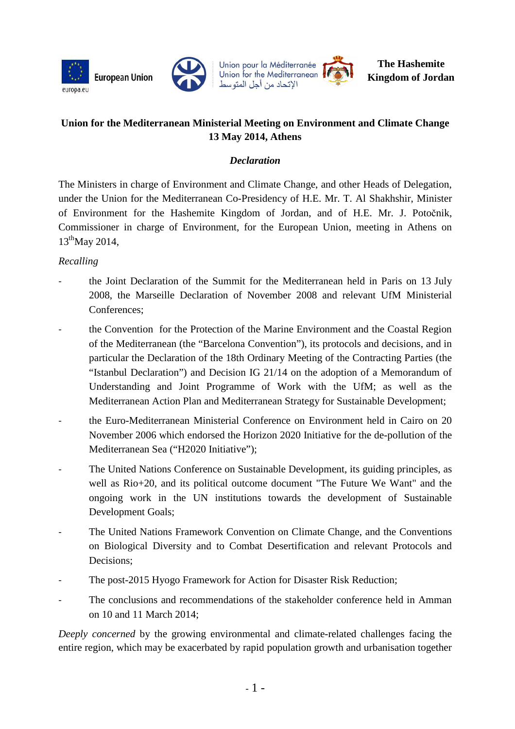







# **Union for the Mediterranean Ministerial Meeting on Environment and Climate Change 13 May 2014, Athens**

# *Declaration*

The Ministers in charge of Environment and Climate Change, and other Heads of Delegation, under the Union for the Mediterranean Co-Presidency of H.E. Mr. T. Al Shakhshir, Minister of Environment for the Hashemite Kingdom of Jordan, and of H.E. Mr. J. Potočnik, Commissioner in charge of Environment, for the European Union, meeting in Athens on 13<sup>th</sup>May 2014,

## *Recalling*

- the Joint Declaration of the Summit for the Mediterranean held in Paris on 13 July 2008, the Marseille Declaration of November 2008 and relevant UfM Ministerial Conferences;
- the Convention for the Protection of the Marine Environment and the Coastal Region of the Mediterranean (the "Barcelona Convention"), its protocols and decisions, and in particular the Declaration of the 18th Ordinary Meeting of the Contracting Parties (the "Istanbul Declaration") and Decision IG 21/14 on the adoption of a Memorandum of Understanding and Joint Programme of Work with the UfM; as well as the Mediterranean Action Plan and Mediterranean Strategy for Sustainable Development;
- the Euro-Mediterranean Ministerial Conference on Environment held in Cairo on 20 November 2006 which endorsed the Horizon 2020 Initiative for the de-pollution of the Mediterranean Sea ("H2020 Initiative");
- The United Nations Conference on Sustainable Development, its guiding principles, as well as Rio+20, and its political outcome document "The Future We Want" and the ongoing work in the UN institutions towards the development of Sustainable Development Goals;
- The United Nations Framework Convention on Climate Change, and the Conventions on Biological Diversity and to Combat Desertification and relevant Protocols and Decisions;
- The post-2015 Hyogo Framework for Action for Disaster Risk Reduction;
- The conclusions and recommendations of the stakeholder conference held in Amman on 10 and 11 March 2014;

*Deeply concerned* by the growing environmental and climate-related challenges facing the entire region, which may be exacerbated by rapid population growth and urbanisation together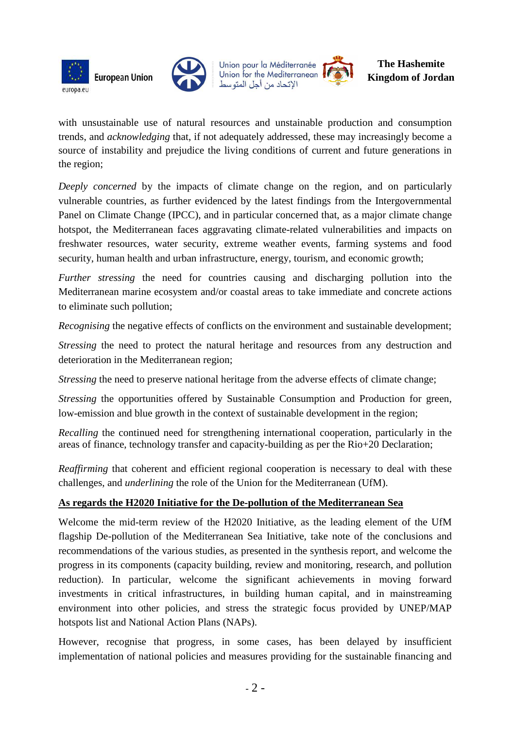





with unsustainable use of natural resources and unstainable production and consumption trends, and *acknowledging* that, if not adequately addressed, these may increasingly become a source of instability and prejudice the living conditions of current and future generations in the region;

*Deeply concerned* by the impacts of climate change on the region, and on particularly vulnerable countries, as further evidenced by the latest findings from the Intergovernmental Panel on Climate Change (IPCC), and in particular concerned that, as a major climate change hotspot, the Mediterranean faces aggravating climate-related vulnerabilities and impacts on freshwater resources, water security, extreme weather events, farming systems and food security, human health and urban infrastructure, energy, tourism, and economic growth;

*Further stressing* the need for countries causing and discharging pollution into the Mediterranean marine ecosystem and/or coastal areas to take immediate and concrete actions to eliminate such pollution;

*Recognising* the negative effects of conflicts on the environment and sustainable development;

*Stressing* the need to protect the natural heritage and resources from any destruction and deterioration in the Mediterranean region;

*Stressing* the need to preserve national heritage from the adverse effects of climate change;

*Stressing* the opportunities offered by Sustainable Consumption and Production for green, low-emission and blue growth in the context of sustainable development in the region;

*Recalling* the continued need for strengthening international cooperation, particularly in the areas of finance, technology transfer and capacity-building as per the Rio+20 Declaration;

*Reaffirming* that coherent and efficient regional cooperation is necessary to deal with these challenges, and *underlining* the role of the Union for the Mediterranean (UfM).

# **As regards the H2020 Initiative for the De-pollution of the Mediterranean Sea**

Welcome the mid-term review of the H2020 Initiative, as the leading element of the UfM flagship De-pollution of the Mediterranean Sea Initiative, take note of the conclusions and recommendations of the various studies, as presented in the synthesis report, and welcome the progress in its components (capacity building, review and monitoring, research, and pollution reduction). In particular, welcome the significant achievements in moving forward investments in critical infrastructures, in building human capital, and in mainstreaming environment into other policies, and stress the strategic focus provided by UNEP/MAP hotspots list and National Action Plans (NAPs).

However, recognise that progress, in some cases, has been delayed by insufficient implementation of national policies and measures providing for the sustainable financing and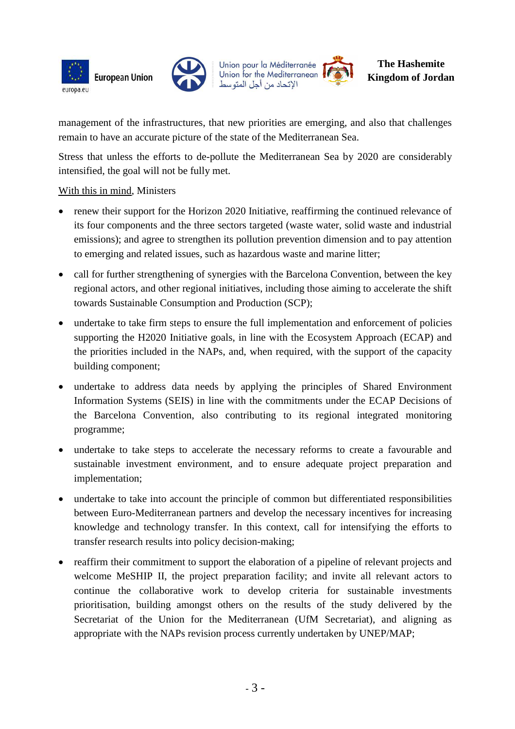





management of the infrastructures, that new priorities are emerging, and also that challenges remain to have an accurate picture of the state of the Mediterranean Sea.

Stress that unless the efforts to de-pollute the Mediterranean Sea by 2020 are considerably intensified, the goal will not be fully met.

## With this in mind, Ministers

- renew their support for the Horizon 2020 Initiative, reaffirming the continued relevance of its four components and the three sectors targeted (waste water, solid waste and industrial emissions); and agree to strengthen its pollution prevention dimension and to pay attention to emerging and related issues, such as hazardous waste and marine litter;
- call for further strengthening of synergies with the Barcelona Convention, between the key regional actors, and other regional initiatives, including those aiming to accelerate the shift towards Sustainable Consumption and Production (SCP);
- undertake to take firm steps to ensure the full implementation and enforcement of policies supporting the H2020 Initiative goals, in line with the Ecosystem Approach (ECAP) and the priorities included in the NAPs, and, when required, with the support of the capacity building component;
- undertake to address data needs by applying the principles of Shared Environment Information Systems (SEIS) in line with the commitments under the ECAP Decisions of the Barcelona Convention, also contributing to its regional integrated monitoring programme;
- undertake to take steps to accelerate the necessary reforms to create a favourable and sustainable investment environment, and to ensure adequate project preparation and implementation;
- undertake to take into account the principle of common but differentiated responsibilities between Euro-Mediterranean partners and develop the necessary incentives for increasing knowledge and technology transfer. In this context, call for intensifying the efforts to transfer research results into policy decision-making;
- reaffirm their commitment to support the elaboration of a pipeline of relevant projects and welcome MeSHIP II, the project preparation facility; and invite all relevant actors to continue the collaborative work to develop criteria for sustainable investments prioritisation, building amongst others on the results of the study delivered by the Secretariat of the Union for the Mediterranean (UfM Secretariat), and aligning as appropriate with the NAPs revision process currently undertaken by UNEP/MAP;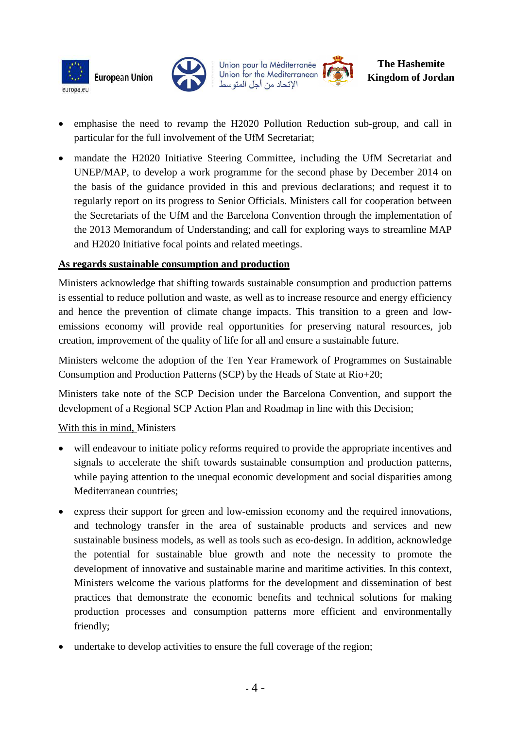







- emphasise the need to revamp the H2020 Pollution Reduction sub-group, and call in particular for the full involvement of the UfM Secretariat;
- mandate the H2020 Initiative Steering Committee, including the UfM Secretariat and UNEP/MAP, to develop a work programme for the second phase by December 2014 on the basis of the guidance provided in this and previous declarations; and request it to regularly report on its progress to Senior Officials. Ministers call for cooperation between the Secretariats of the UfM and the Barcelona Convention through the implementation of the 2013 Memorandum of Understanding; and call for exploring ways to streamline MAP and H2020 Initiative focal points and related meetings.

#### **As regards sustainable consumption and production**

Ministers acknowledge that shifting towards sustainable consumption and production patterns is essential to reduce pollution and waste, as well as to increase resource and energy efficiency and hence the prevention of climate change impacts. This transition to a green and lowemissions economy will provide real opportunities for preserving natural resources, job creation, improvement of the quality of life for all and ensure a sustainable future.

Ministers welcome the adoption of the Ten Year Framework of Programmes on Sustainable Consumption and Production Patterns (SCP) by the Heads of State at Rio+20;

Ministers take note of the SCP Decision under the Barcelona Convention, and support the development of a Regional SCP Action Plan and Roadmap in line with this Decision;

## With this in mind, Ministers

- will endeavour to initiate policy reforms required to provide the appropriate incentives and signals to accelerate the shift towards sustainable consumption and production patterns, while paying attention to the unequal economic development and social disparities among Mediterranean countries;
- express their support for green and low-emission economy and the required innovations, and technology transfer in the area of sustainable products and services and new sustainable business models, as well as tools such as eco-design. In addition, acknowledge the potential for sustainable blue growth and note the necessity to promote the development of innovative and sustainable marine and maritime activities. In this context, Ministers welcome the various platforms for the development and dissemination of best practices that demonstrate the economic benefits and technical solutions for making production processes and consumption patterns more efficient and environmentally friendly;
- undertake to develop activities to ensure the full coverage of the region;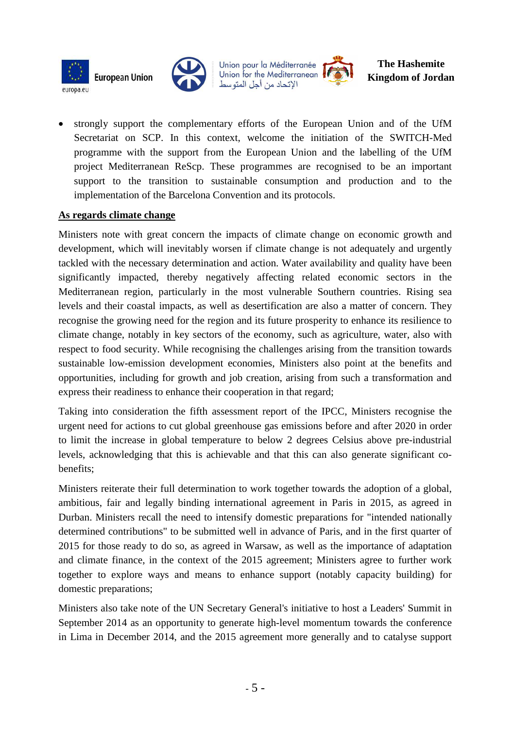





#### **The Hashemite Kingdom of Jordan**

• strongly support the complementary efforts of the European Union and of the UfM Secretariat on SCP. In this context, welcome the initiation of the SWITCH-Med programme with the support from the European Union and the labelling of the UfM project Mediterranean ReScp. These programmes are recognised to be an important support to the transition to sustainable consumption and production and to the implementation of the Barcelona Convention and its protocols.

#### **As regards climate change**

Ministers note with great concern the impacts of climate change on economic growth and development, which will inevitably worsen if climate change is not adequately and urgently tackled with the necessary determination and action. Water availability and quality have been significantly impacted, thereby negatively affecting related economic sectors in the Mediterranean region, particularly in the most vulnerable Southern countries. Rising sea levels and their coastal impacts, as well as desertification are also a matter of concern. They recognise the growing need for the region and its future prosperity to enhance its resilience to climate change, notably in key sectors of the economy, such as agriculture, water, also with respect to food security. While recognising the challenges arising from the transition towards sustainable low-emission development economies, Ministers also point at the benefits and opportunities, including for growth and job creation, arising from such a transformation and express their readiness to enhance their cooperation in that regard;

Taking into consideration the fifth assessment report of the IPCC, Ministers recognise the urgent need for actions to cut global greenhouse gas emissions before and after 2020 in order to limit the increase in global temperature to below 2 degrees Celsius above pre-industrial levels, acknowledging that this is achievable and that this can also generate significant cobenefits;

Ministers reiterate their full determination to work together towards the adoption of a global, ambitious, fair and legally binding international agreement in Paris in 2015, as agreed in Durban. Ministers recall the need to intensify domestic preparations for "intended nationally determined contributions" to be submitted well in advance of Paris, and in the first quarter of 2015 for those ready to do so, as agreed in Warsaw, as well as the importance of adaptation and climate finance, in the context of the 2015 agreement; Ministers agree to further work together to explore ways and means to enhance support (notably capacity building) for domestic preparations;

Ministers also take note of the UN Secretary General's initiative to host a Leaders' Summit in September 2014 as an opportunity to generate high-level momentum towards the conference in Lima in December 2014, and the 2015 agreement more generally and to catalyse support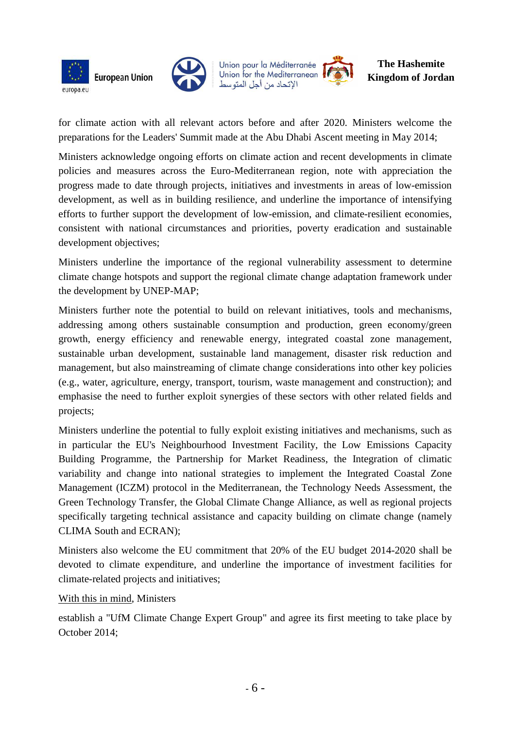





#### **The Hashemite Kingdom of Jordan**

for climate action with all relevant actors before and after 2020. Ministers welcome the preparations for the Leaders' Summit made at the Abu Dhabi Ascent meeting in May 2014;

Ministers acknowledge ongoing efforts on climate action and recent developments in climate policies and measures across the Euro-Mediterranean region, note with appreciation the progress made to date through projects, initiatives and investments in areas of low-emission development, as well as in building resilience, and underline the importance of intensifying efforts to further support the development of low-emission, and climate-resilient economies, consistent with national circumstances and priorities, poverty eradication and sustainable development objectives;

Ministers underline the importance of the regional vulnerability assessment to determine climate change hotspots and support the regional climate change adaptation framework under the development by UNEP-MAP;

Ministers further note the potential to build on relevant initiatives, tools and mechanisms, addressing among others sustainable consumption and production, green economy/green growth, energy efficiency and renewable energy, integrated coastal zone management, sustainable urban development, sustainable land management, disaster risk reduction and management, but also mainstreaming of climate change considerations into other key policies (e.g., water, agriculture, energy, transport, tourism, waste management and construction); and emphasise the need to further exploit synergies of these sectors with other related fields and projects;

Ministers underline the potential to fully exploit existing initiatives and mechanisms, such as in particular the EU's Neighbourhood Investment Facility, the Low Emissions Capacity Building Programme, the Partnership for Market Readiness, the Integration of climatic variability and change into national strategies to implement the Integrated Coastal Zone Management (ICZM) protocol in the Mediterranean, the Technology Needs Assessment, the Green Technology Transfer, the Global Climate Change Alliance, as well as regional projects specifically targeting technical assistance and capacity building on climate change (namely CLIMA South and ECRAN);

Ministers also welcome the EU commitment that 20% of the EU budget 2014-2020 shall be devoted to climate expenditure, and underline the importance of investment facilities for climate-related projects and initiatives;

## With this in mind, Ministers

establish a "UfM Climate Change Expert Group" and agree its first meeting to take place by October 2014;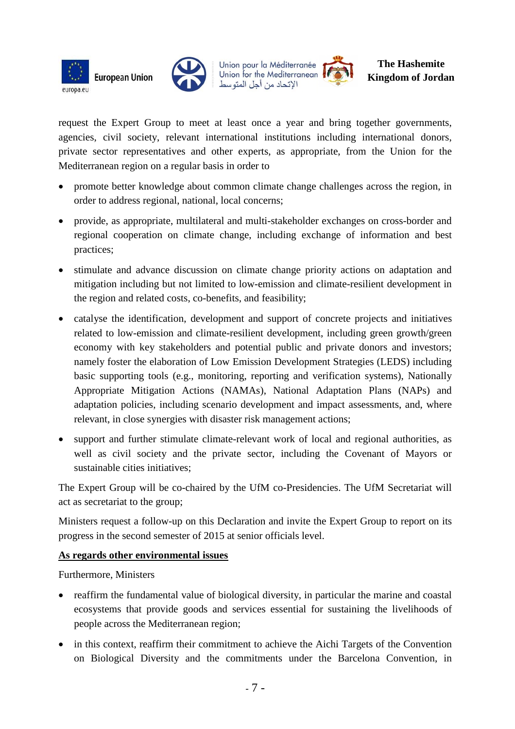





request the Expert Group to meet at least once a year and bring together governments, agencies, civil society, relevant international institutions including international donors, private sector representatives and other experts, as appropriate, from the Union for the Mediterranean region on a regular basis in order to

- promote better knowledge about common climate change challenges across the region, in order to address regional, national, local concerns;
- provide, as appropriate, multilateral and multi-stakeholder exchanges on cross-border and regional cooperation on climate change, including exchange of information and best practices;
- stimulate and advance discussion on climate change priority actions on adaptation and mitigation including but not limited to low-emission and climate-resilient development in the region and related costs, co-benefits, and feasibility;
- catalyse the identification, development and support of concrete projects and initiatives related to low-emission and climate-resilient development, including green growth/green economy with key stakeholders and potential public and private donors and investors; namely foster the elaboration of Low Emission Development Strategies (LEDS) including basic supporting tools (e.g., monitoring, reporting and verification systems), Nationally Appropriate Mitigation Actions (NAMAs), National Adaptation Plans (NAPs) and adaptation policies, including scenario development and impact assessments, and, where relevant, in close synergies with disaster risk management actions;
- support and further stimulate climate-relevant work of local and regional authorities, as well as civil society and the private sector, including the Covenant of Mayors or sustainable cities initiatives;

The Expert Group will be co-chaired by the UfM co-Presidencies. The UfM Secretariat will act as secretariat to the group;

Ministers request a follow-up on this Declaration and invite the Expert Group to report on its progress in the second semester of 2015 at senior officials level.

## **As regards other environmental issues**

Furthermore, Ministers

- reaffirm the fundamental value of biological diversity, in particular the marine and coastal ecosystems that provide goods and services essential for sustaining the livelihoods of people across the Mediterranean region;
- in this context, reaffirm their commitment to achieve the Aichi Targets of the Convention on Biological Diversity and the commitments under the Barcelona Convention, in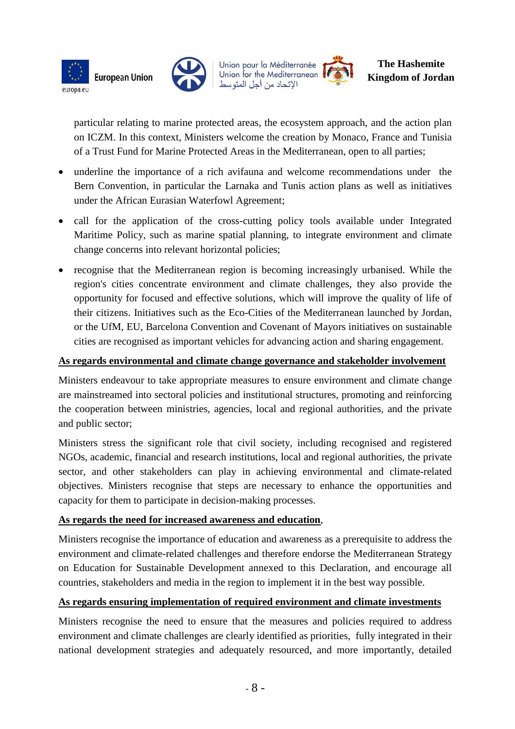





particular relating to marine protected areas, the ecosystem approach, and the action plan on ICZM. In this context, Ministers welcome the creation by Monaco, France and Tunisia of a Trust Fund for Marine Protected Areas in the Mediterranean, open to all parties;

- underline the importance of a rich avifauna and welcome recommendations under the Bern Convention, in particular the Larnaka and Tunis action plans as well as initiatives under the African Eurasian Waterfowl Agreement;
- call for the application of the cross-cutting policy tools available under Integrated Maritime Policy, such as marine spatial planning, to integrate environment and climate change concerns into relevant horizontal policies;
- recognise that the Mediterranean region is becoming increasingly urbanised. While the region's cities concentrate environment and climate challenges, they also provide the opportunity for focused and effective solutions, which will improve the quality of life of their citizens. Initiatives such as the Eco-Cities of the Mediterranean launched by Jordan, or the UfM, EU, Barcelona Convention and Covenant of Mayors initiatives on sustainable cities are recognised as important vehicles for advancing action and sharing engagement.

## **As regards environmental and climate change governance and stakeholder involvement**

Ministers endeavour to take appropriate measures to ensure environment and climate change are mainstreamed into sectoral policies and institutional structures, promoting and reinforcing the cooperation between ministries, agencies, local and regional authorities, and the private and public sector;

Ministers stress the significant role that civil society, including recognised and registered NGOs, academic, financial and research institutions, local and regional authorities, the private sector, and other stakeholders can play in achieving environmental and climate-related objectives. Ministers recognise that steps are necessary to enhance the opportunities and capacity for them to participate in decision-making processes.

## **As regards the need for increased awareness and education**,

Ministers recognise the importance of education and awareness as a prerequisite to address the environment and climate-related challenges and therefore endorse the Mediterranean Strategy on Education for Sustainable Development annexed to this Declaration, and encourage all countries, stakeholders and media in the region to implement it in the best way possible.

## **As regards ensuring implementation of required environment and climate investments**

Ministers recognise the need to ensure that the measures and policies required to address environment and climate challenges are clearly identified as priorities, fully integrated in their national development strategies and adequately resourced, and more importantly, detailed